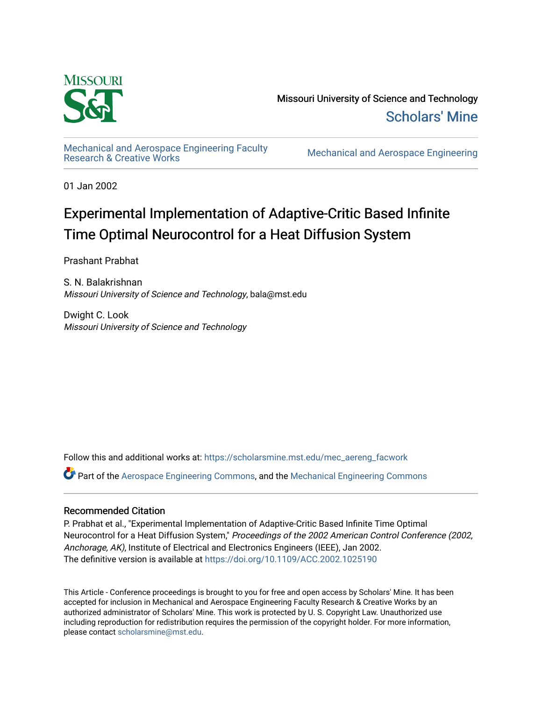

Missouri University of Science and Technology [Scholars' Mine](https://scholarsmine.mst.edu/) 

[Mechanical and Aerospace Engineering Faculty](https://scholarsmine.mst.edu/mec_aereng_facwork) 

**Mechanical and Aerospace Engineering** 

01 Jan 2002

# Experimental Implementation of Adaptive-Critic Based Infinite Time Optimal Neurocontrol for a Heat Diffusion System

Prashant Prabhat

S. N. Balakrishnan Missouri University of Science and Technology, bala@mst.edu

Dwight C. Look Missouri University of Science and Technology

Follow this and additional works at: [https://scholarsmine.mst.edu/mec\\_aereng\\_facwork](https://scholarsmine.mst.edu/mec_aereng_facwork?utm_source=scholarsmine.mst.edu%2Fmec_aereng_facwork%2F3426&utm_medium=PDF&utm_campaign=PDFCoverPages) 

Part of the [Aerospace Engineering Commons](http://network.bepress.com/hgg/discipline/218?utm_source=scholarsmine.mst.edu%2Fmec_aereng_facwork%2F3426&utm_medium=PDF&utm_campaign=PDFCoverPages), and the [Mechanical Engineering Commons](http://network.bepress.com/hgg/discipline/293?utm_source=scholarsmine.mst.edu%2Fmec_aereng_facwork%2F3426&utm_medium=PDF&utm_campaign=PDFCoverPages) 

# Recommended Citation

P. Prabhat et al., "Experimental Implementation of Adaptive-Critic Based Infinite Time Optimal Neurocontrol for a Heat Diffusion System," Proceedings of the 2002 American Control Conference (2002, Anchorage, AK), Institute of Electrical and Electronics Engineers (IEEE), Jan 2002. The definitive version is available at <https://doi.org/10.1109/ACC.2002.1025190>

This Article - Conference proceedings is brought to you for free and open access by Scholars' Mine. It has been accepted for inclusion in Mechanical and Aerospace Engineering Faculty Research & Creative Works by an authorized administrator of Scholars' Mine. This work is protected by U. S. Copyright Law. Unauthorized use including reproduction for redistribution requires the permission of the copyright holder. For more information, please contact [scholarsmine@mst.edu.](mailto:scholarsmine@mst.edu)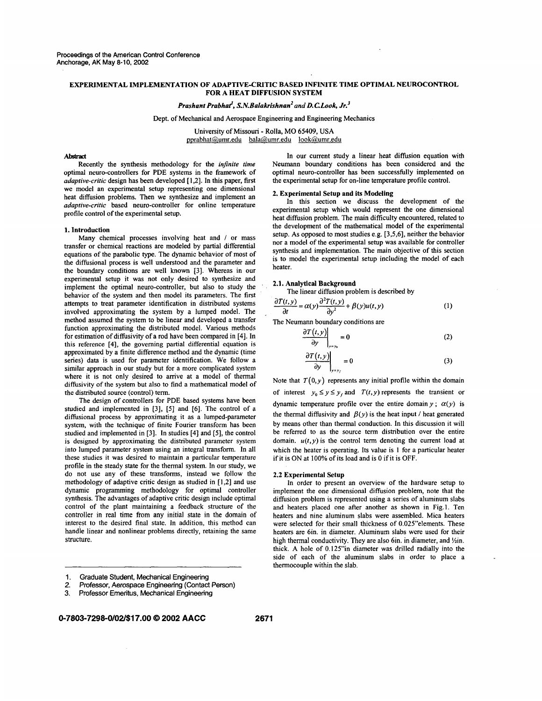### **EXPERIMENTAL IMPLEMENTATION OF ADAPTIVE-CRITIC BASED INFINITE TIME OPTIMAL NEUROCONTROL FOR A HEAT DIFFUSION SYSTEM**

#### *Prashant Prabhat, S.N.Balakrishnan' and D.CLook, Jr.'*

Dept. of Mechanical and Aerospace Engineering and Engineering Mechanics

University of Missouri - Rolla, MO 65409, USA pprabhat@umr.edu [bala@umr.edu](mailto:bala@umr.edu) look@umr.edu

#### Abstract

Recently the synthesis methodology for the *infinite time*  optimal neuro-controllers for PDE systems in the framework of *adaptive-critic* design has been developed [ 1,2]. In this paper, first we model an experimental setup representing one dimensional heat diffusion problems. Then we synthesize and implement an *adaptive-critic* based neuro-controller for online temperature profile control of the experimental setup.

#### **1. Introduction**

Many chemical processes involving heat and / or mass transfer or chemical reactions are modeled by partial differential equations of the parabolic type. The dynamic behavior of most of the diffusional process is well understood and the parameter and the boundary conditions are well known **[3].** Whereas in our experimental setup it was not only desired to synthesize and implement the optimal neuro-controller, but also to study the behavior of the system and then model its parameters. The first attempts to treat parameter identification in distributed systems involved approximating the system by a lumped model. The method assumed the system to be linear and developed a transfer function approximating the distributed model. Various methods for estimation of diffusivity of a rod have been compared in **[4].** In this reference **[4],** the governing partial differential equation is approximated by a finite difference method and the dynamic (time series) data is used for parameter identification. We follow a similar approach in our study but for a more complicated system where it is not only desired to arrive at a model of thermal diffusivity of the system but also to find a mathematical model of the distributed source (control) term.

The design of controllers for PDE based systems have been studied and implemented in [3], (51 and [6]. The control of a diffusional process by approximating it as a lumped-parameter system, with the technique of finite Fourier transform has been studied and implemented in **[3].** In studies **[4]** and [5], the control is designed by approximating the distributed parameter system into lumped parameter system using an integral transform. In all these studies it was desired to maintain a particular temperature profile in the steady state for the thermal system. In our study, we do not use any of these transforms, instead we follow the methodology of adaptive critic design as studied in [1,2] and use dynamic programming methodology for optimal controller synthesis. The advantages of adaptive critic design include optimal control of the plant maintaining a feedback structure of the controller in real time from any initial state in the domain of interest to the desired final state. In addition, this method can handle linear and nonlinear problems directly, retaining the same structure.

- **1. Graduate Student, Mechanical Engineering**
- **2. Professor, Aerospace Engineering (Contact Person)**

In our current study a linear heat diffusion equation with Neumann boundary conditions has been considered and the optimal neuro-controller has been successfully implemented on the experimental setup for on-line temperature profile control.

#### **2. Experimental Setup and its Modeling**

In this section we discuss the development of the experimental setup which would represent the one dimensional heat diffusion problem. The main difficulty encountered, related to the development of the mathematical model of the experimental setup. As opposed to most studies e.g. [3,5,6], neither the behavior nor a model of the experimental setup was available for controller synthesis and implementation. The main objective of this section is to model the experimental setup including the model of each heater.

#### **2.1. Analytical Background**

The linear diffusion problem is described by

$$
\frac{\partial T(t, y)}{\partial t} = \alpha(y) \frac{\partial^2 T(t, y)}{\partial y^2} + \beta(y)u(t, y) \tag{1}
$$

The Neumann boundary conditions are

$$
\left.\frac{\partial T(t,y)}{\partial y}\right|_{y=y_0}=0\tag{2}
$$

$$
\left. \frac{\partial T(t, y)}{\partial y} \right|_{y=y_f} = 0 \tag{3}
$$

Note that  $T(0, y)$  represents any initial profile within the domain of interest  $y_0 \le y \le y_f$  and  $T(t, y)$  represents the transient or dynamic temperature profile over the entire domain  $y$ ;  $\alpha(y)$  is the thermal diffusivity and  $\beta(y)$  is the heat input / heat generated by means other than thermal conduction. In this discussion it will be referred to as the source term distribution over the entire domain.  $u(t, y)$  is the control term denoting the current load at which the heater is operating. Its value is **1** for a particular heater if it is ON at 100% of its load and is 0 if it is OFF.

#### **2.2 Experimental Setup**

In order to present an overview of the hardware setup to implement the one dimensional diffusion problem, note that the diffusion problem is represented using a series of aluminum slabs and heaters placed one after another as shown in Fig.]. Ten heaters and nine aluminum slabs were assembled. Mica heaters were selected for their small thickness of 0.025"elements. These heaters are 6in. in diameter. Aluminum slabs were used for their high thermal conductivity. They are also 6in. in diameter, and  $\frac{1}{2}$ in. thick. A hole of 0.125"in diameter was drilled radially into the side of each of the aluminum slabs in order to place a thermocouple within the slab.

**<sup>3.</sup> Professor Emeritus, Mechanical Engineering**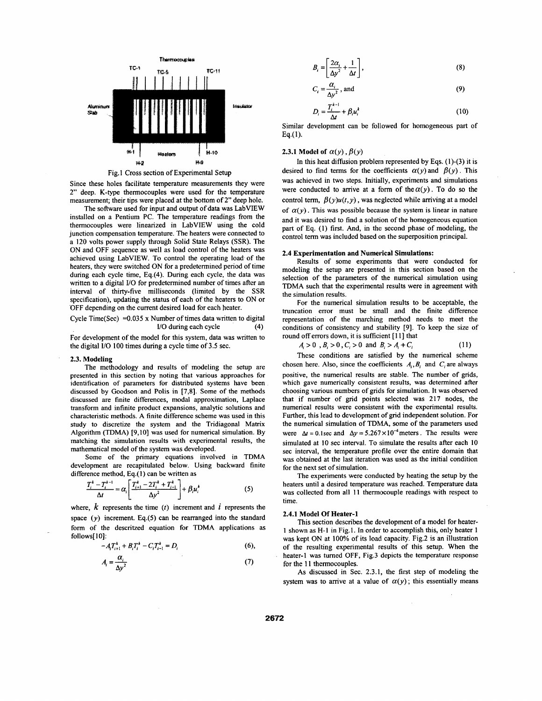

Fig.1 Cross section of Experimental Setup

Since these holes facilitate temperature measurements they were 2" deep. K-type thermocouples were used for the temperature measurement; their tips were placed at the bottom of 2" deep hole.

The software used for input and output of data was LabVIEW installed on a Pentium PC. The temperature readings from the thermocouples were linearized in LabVIEW using the cold junction compensation temperature. The heaters were connected to a 120 volts power supply through Solid State Relays (SSR). The ON and OFF sequence as well as load control of the heaters was achieved using LabVIEW. To control the operating load of the heaters, they were switched ON for a predetermined period of time during each cycle time, Eq.(4). During each cycle, the data was written to a digital *VO* for predetermined number of times after an interval of thirty-five milliseconds (limited by the SSR specification), updating the status of each of the heaters to ON or -OFF depending on the current desired load for each heater.

Cycle Time(Sec) =
$$
0.035 \times
$$
 Number of times data written to digital I/O during each cycle (4)

For development of the model for this system, data was written to the digital **I/O** 100 times during a cycle time of 3.5 sec.

#### **2.3. Modeling**

The methodology and results of modeling the setup are presented in this section by noting that various approaches for identification of parameters for distributed systems have been discussed by Goodson and Polis in [7,8]. Some of the methods discussed are finite differences, modal approximation, Laplace transform and infinite product expansions, analytic solutions and characteristic methods. A finite difference scheme was used in this study to discretize the system and the Tridiagonal Matrix Algorithm (TDMA) [9,10] was used for numerical simulation. By matching the simulation results with experimental results, the mathematical model of the system was developed.

Some of the primary equations involved in TDMA development are recapitulated below. Using backward finite difference method, Eq.(l) can be written as

$$
\frac{T_i^k - T_i^{k-1}}{\Delta t} = \alpha_i \left[ \frac{T_{i+1}^k - 2T_i^k + T_{i-1}^k}{\Delta y^2} \right] + \beta_i u_i^k \tag{5}
$$

where,  $k$  represents the time  $(t)$  increment and  $i$  represents the space *(y)* increment. Eq.(5) can be rearranged into the standard form of the descritzed equation for TDMA applications as follows[ IO]:

$$
-A_i T_{i+1}^k + B_i T_i^k - C_i T_{i-1}^k = D_i
$$
 (6),

$$
A_i = \frac{\alpha_i}{\Delta y^2} \tag{7}
$$

$$
B_i = \left[\frac{2\alpha_i}{\Delta y^2} + \frac{1}{\Delta t}\right],\tag{8}
$$

$$
C_i = \frac{\alpha_i}{\Delta y^2}, \text{ and} \tag{9}
$$

$$
D_i = \frac{T_i^{k-1}}{\Delta t} + \beta_i u_i^k \tag{10}
$$

Similar development can be followed for homogeneous part of **Eq.(l).** 

#### **2.3.1 Model of**  $\alpha(y)$ ,  $\beta(y)$

In this heat diffusion problem represented by Eqs.  $(1)-(3)$  it is desired to find terms for the coefficients  $\alpha(y)$  and  $\beta(y)$ . This was achieved in two steps. Initially, experiments and simulations were conducted to arrive at a form of the  $\alpha(y)$ . To do so the control term,  $\beta(y)u(t, y)$ , was neglected while arriving at a model of  $\alpha(y)$ . This was possible because the system is linear in nature and it was desired to find a solution of the homogeneous equation part of Eq. (1) first. And, in the second phase of modeling, the control term was included based on the superposition principal.

# **2.4 Experimentation and Numerical Simulations:**

Results of some experiments that were conducted for modeling the setup are presented in this section based on the selection of the parameters of the numerical simulation using TDMA such that the experimental results were in agreement with the simulation results.

For the numerical simulation results to be acceptable, the truncation error must be small and the finite difference representation of the marching method needs to meet the conditions of consistency and siability *[9].* To keep the size of round off errors down, it is sufficient [11] that

$$
A_i > 0, B_i > 0, C_i > 0 \text{ and } B_i > A_i + C_i \tag{11}
$$

These conditions are satisfied by the numerical scheme chosen here. Also, since the coefficients  $A_i, B_i$  and  $C_i$  are always positive, the numerical results are stable. The number of grids, which gave numerically consistent results, was determined after choosing various numbers of grids for simulation. It was observed that if number of grid points selected was 217 nodes, the numerical results were consisterit with the experimental results. Further, this lead to development of grid independent solution. For the numerical simulation of TDMA, some of the parameters used were  $\Delta t = 0.1$  sec and  $\Delta y = 5.267 \times 10^{-4}$  meters. The results were simulated at 10 sec interval. To simulate the results after each **10**  sec interval, the temperature profile over the entire domain that was obtained at the last iteration was used as the initial condition for the next set of simulation.

The experiments were conducted by heating the setup by the heaters until a desired temperature was reached. Temperature data was collected from all **11** thermocouple readings with respect to time.

#### **2.4.1 Model Of Heater-1**

This section describes the development of a model for heater-**1** shown as **H-1** in Fig. **1.** In order to accomplish this, only heater **1**  was kept ON at 100% of its load capacity. Fig.2 is an illustration of the resulting experimental results of this setup. When the heater-I was turned OFF, Fig.3 depicts the temperature response for the 11 thermocouples.

As discussed in Sec. 2.3.1, the first step of modeling the system was to arrive at a value of  $\alpha(y)$ ; this essentially means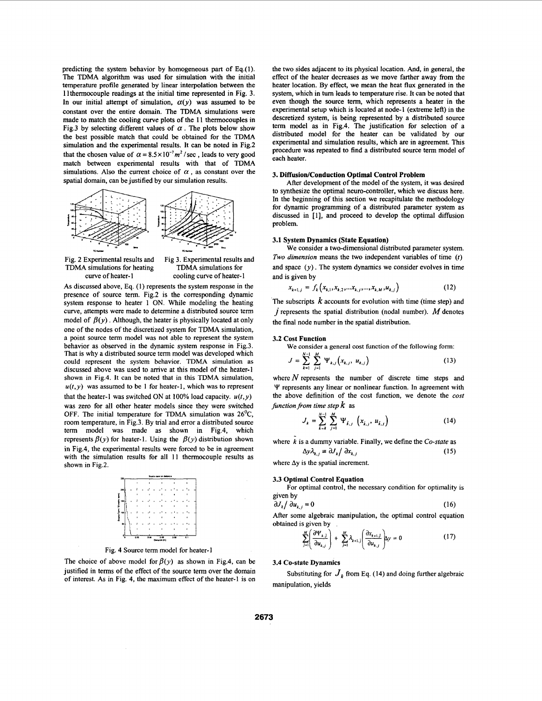predicting the system behavior by homogeneous part of **Eq.(** 1). The TDMA algorithm was used for simulation with the initial temperature profile generated by linear interpolation between the 1 lthermocouple readings at the initial time represented in Fig. 3. In our initial attempt of simulation,  $\alpha(y)$  was assumed to be constant over the entire domain. The TDMA simulations were made to match the cooling curve plots of the **11** thermocouples in Fig.3 by selecting different values of  $\alpha$ . The plots below show the best possible match that could be obtained for the TDMA simulation and the experimental results. It can be noted in Fig.2 that the chosen value of  $\alpha = 8.5 \times 10^{-7} m^2$  / sec, leads to very good match between experimental results with that of TDMA simulations. Also the current choice of  $\alpha$ , as constant over the spatial domain, can be justified by our simulation results.



Fig. 2 Experimental results and TDMA simulations for heating curve of heater-I

Fig 3. Experimental results and TDMA simulations for cooling curve of heater-I

**As** discussed above, Eq. **(1)** represents the system response in the presence of source term. Fig.2 is the corresponding dynamic system response to heater **1** ON. While modeling the heating curve, attempts were made to determine a distributed source term model of  $\beta(y)$ . Although, the heater is physically located at only one of the nodes of the discretized system for TDMA simulation, a point source term model was not able to represent the system behavior as observed in the dynamic system response in Fig.3. That is why a distributed source term model was developed which could represent the system behavior. TDMA simulation as discussed above was used to arrive at this model of the heater-1 shown in Fig.4. It can be noted that in this TDMA simulation,  $u(t, y)$  was assumed to be 1 for heater-1, which was to represent that the heater-1 was switched ON at 100% load capacity.  $u(t, y)$ was zero for ail other heater models since they were switched OFF. The initial temperature for TDMA simulation was  $26^{\circ}$ C, room temperature, in Fig.3. By trial and error a distributed source term model was made as shown in Fig.4, which represents  $\beta(y)$  for heater-1. Using the  $\beta(y)$  distribution shown in Fig.4, the experimental results were forced to be in agreement with the simulation results for all **11** thermocouple results as shown in Fig.2.



Fig. 4 Source term model for heater-I

The choice of above model for  $\beta(y)$  as shown in Fig.4, can be justified in terms of the effect of the source term over the domain of interest. As in Fig. 4, the maximum effect of the heater-I is on the two sides adjacent to its physical location. And, in general, the effect of the heater decreases **as** we move farther away from the heater location. By effect, we mean the heat **flux** generated in the system, which in turn leads to temperature rise. It can be noted that even though the source term, which represents a heater in the experimental setup which is located at node-I (extreme left) in the descretized system, is being represented by a distributed source term model as in Fig.4. The justification for selection of a distributed model for the heater can be validated by **our**  experimental and simulation results, which are in agreement. This procedure was repeated to find a distributed source term model of each heater.

#### 3. Diffusion/Conduction Optimal Control Problem

After development of the model of the system, it was desired to synthesize the optimal neuro-controller, which we discuss here. In the beginning of this section we recapitulate the methodology for dynamic programming of a distributed parameter system as discussed in **[l],** and proceed to develop the optimal diffusion problem.

#### 3.1 System Dynamics (State Equation)

We consider a two-dimensional distributed parameter system. *Two dimension* means the **two** independent variables of time *(t)*  and space  $(y)$ . The system dynamics we consider evolves in time and is given by

$$
x_{k+1,j} = f_k(x_{k,1}, x_{k,2}, \dots, x_{k,j}, \dots, x_{k,M}, u_{k,j})
$$
 (12)

The subscripts *k* accounts for evolution with time (time step) and *j* represents the spatial distribution (nodal number). *hf* denotes the final node number in the spatial distribution.

#### **3.2** Cost Function

We consider a general cost function of the following form:

$$
J = \sum_{k=1}^{N-1} \sum_{j=1}^{M} \Psi_{k,j} (x_{k,j}, u_{k,j})
$$
 (13)

where  $N$  represents the number of discrete time steps and *Y* represents any linear or nonlinear function. In agreement with the above definition of the cost function, we denote the *cost function from time step*  $k$  as

$$
J_{k} = \sum_{k=k}^{N-1} \sum_{j=1}^{M} \Psi_{k,j} \left( x_{k,j}, u_{k,j} \right)
$$
 (14)

where *k* is a dummy variable. Finally, we define the *CO-state* as

 $\Delta y \lambda_{k,i} \equiv \partial J_k / \partial x_{k,i}$  (15)

where  $\Delta y$  is the spatial increment.

#### 3.3 Optimal Control Equation

given by For optimal control, the necessary condition for optimality is

$$
\frac{\partial J_k}{\partial u_{k,j}} = 0 \tag{16}
$$

After some algebraic manipulation, the optimal control equation obtained is given by

$$
\sum_{j=1}^{M} \left( \frac{\partial \Psi_{k,j}}{\partial u_{k,j}} \right) + \sum_{j=1}^{M} \lambda_{k+1,j} \left( \frac{\partial x_{k+1,j}}{\partial u_{k,j}} \right) y = 0 \tag{17}
$$

#### **3.4** CO-state Dynamics

Substituting for  $J_k$  from Eq. (14) and doing further algebraic manipulation, yields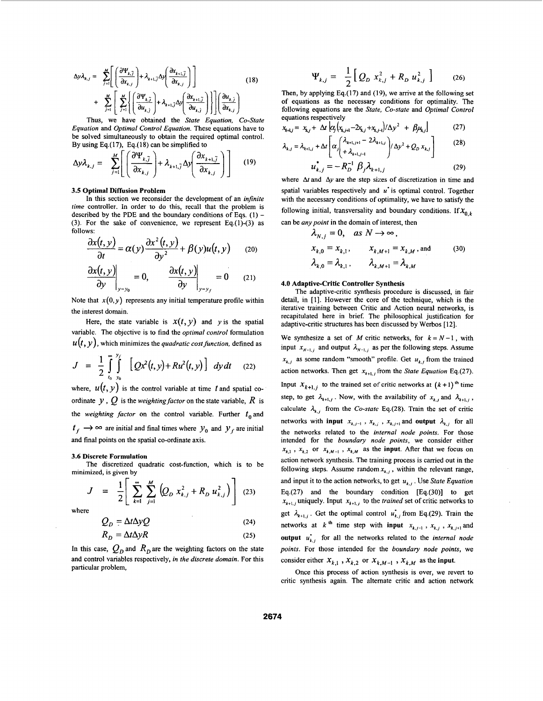$$
\Delta y \lambda_{k,j} = \sum_{j=1}^{M} \left[ \left( \frac{\partial \Psi_{k,\bar{j}}}{\partial x_{k,j}} \right) + \lambda_{k+1,\bar{j}} \Delta y \left( \frac{\partial x_{k+1,\bar{j}}}{\partial x_{k,j}} \right) \right]
$$
(18)  
+ 
$$
\sum_{j=1}^{M} \left[ \sum_{j=1}^{M} \left\{ \left( \frac{\partial \Psi_{k,\bar{j}}}{\partial u_{k,\bar{j}}} \right) + \lambda_{k+1,\bar{j}} \Delta y \left( \frac{\partial x_{k+1,\bar{j}}}{\partial u_{k,\bar{j}}} \right) \right\} \right] \left( \frac{\partial u_{k,\bar{j}}}{\partial x_{k,j}} \right)
$$

Thus, we have obtained the *State Equation, CO-State Equation* and *Optimal Control Equation.* These equations have to be solved simultaneously to obtain the required optimal control. By using Eq.(17), Eq.(18) can be simplified to

$$
\Delta y \lambda_{k,j} = \sum_{j=1}^{M} \left[ \left( \frac{\partial \Psi_{k,\tilde{j}}}{\partial x_{k,j}} \right) + \lambda_{k+1,\tilde{j}} \Delta y \left( \frac{\partial x_{k+1,\tilde{j}}}{\partial x_{k,j}} \right) \right]
$$
(19)

#### **3.5 Optimal Diffusion Problem**

In this section we reconsider the development of an *infinite time* controller. In order to do this, recall that the problem is described by the PDE and the boundary conditions of Eqs. **(1)** - (3). For the sake of convenience, we represent Eq.(1)-(3) as follows:

$$
\frac{\partial x(t, y)}{\partial t} = \alpha(y) \frac{\partial x^2(t, y)}{\partial y^2} + \beta(y)u(t, y) \qquad (20)
$$

$$
\left.\frac{\partial x(t,y)}{\partial y}\right|_{y=y_0}=0, \qquad \left.\frac{\partial x(t,y)}{\partial y}\right|_{y=y_f}=0 \qquad (21)
$$

Note that  $x(0, y)$  represents any initial temperature profile within the interest domain.

Here, the state variable is  $x(t, y)$  and *y* is the spatial variable. The objective is to find the *optimal control* formulation  $u(t, y)$ , which minimizes the *quadratic cost function*, defined as

$$
J = \frac{1}{2} \int_{t_0}^{t_0} \int_{y_0}^{y} \left[ Qx^2(t, y) + Ru^2(t, y) \right] dy dt
$$
 (22)

where,  $u(t, y)$  is the control variable at time t and spatial coordinate  $y$ ,  $Q$  is the *weighting factor* on the state variable,  $R$  is the *weighting factor* on the control variable. Further  $t_0$  and  $t_f \rightarrow \infty$  are initial and final times where  $y_0$  and  $y_f$  are initial and final points on the spatial co-ordinate axis.

#### **3.6 Discrete Formulation**

minimized, is given by The discretized quadratic cost-function, which is to be

$$
J = \frac{1}{2} \left[ \sum_{k=1}^{\infty} \sum_{j=1}^{M} \left( Q_{D} x_{k,j}^{2} + R_{D} u_{k,j}^{2} \right) \right]
$$

where

$$
Q_D = \Delta t \Delta y Q \tag{24}
$$
  
\n
$$
R_D = \Delta t \Delta y R \tag{25}
$$

In this case,  $Q_n$  and  $R_n$  are the weighting factors on the state and control variables respectively, *in the discrete domain.* For this particular problem,

$$
\Psi_{k,j} = \frac{1}{2} \Big[ Q_D \; x_{k,j}^2 + R_D \; u_{k,j}^2 \; \Big] \qquad (26)
$$

Then, by applying Eq. $(17)$  and  $(19)$ , we arrive at the following set of equations as the necessary conditions for optimality. The following equations are the *State, CO-state* and *Optimal Control*  equations respectively

$$
x_{k+1} = x_{k,j} + \Delta t \left[ \alpha_j \left( x_{k,j+1} - 2x_{k,j} + x_{k,j+1} \right) / \Delta y^2 + \beta_j u_{k,j} \right] \tag{27}
$$

$$
\lambda_{k,j} = \lambda_{k+1,j} + \Delta t \left[ \alpha_j \left( \frac{\lambda_{k+1,j+1}}{\lambda_{k+1,j-1}} - 2\lambda_{k+1,j} \right) / \Delta y^2 + Q_D x_{k,j} \right] \tag{28}
$$

$$
u_{k,j}^* = -R_D^{-1} \beta_j \lambda_{k+1,j}
$$
 (29)

where  $\Delta t$  and  $\Delta y$  are the step sizes of discretization in time and spatial variables respectively and *u*<sup> $\cdot$ </sup> is optimal control. Together with the necessary conditions of optimality, we have to satisfy the following initial, transversality and boundary conditions. If  $X_{0,k}$ can be *any point* in the domain of interest, then

$$
\lambda_{N,j} = 0, \quad \text{as } N \to \infty,
$$
\n
$$
x_{k,0} = x_{k,1}, \qquad x_{k,M+1} = x_{k,M}, \text{and}
$$
\n
$$
\lambda_{k,0} = \lambda_{k,1}, \qquad \lambda_{k,M+1} = \lambda_{k,M}
$$
\n(30)

## **4.0 Adaptive-Critic Controller Synthesis**

The adaptive-critic synthesis procedure is discussed, in fair detail, in [l]. However the core of the technique, which is the iterative training between Critic and Action neural networks, is recapitulated here in brief. The philosophical justification for adaptive-critic structures has been discussed by Werbos [ 121.

We synthesize a set of *M* critic networks, for  $k = N - 1$ , with input  $x_{N-1,j}$  and output  $\lambda_{N-1,j}$  as per the following steps. Assume  $x_{k,i}$  as some random "smooth" profile. Get  $u_{k,i}$  from the trained action networks. Then get  $x_{k+1,i}$  from the *State Equation* Eq.(27). Input  $X_{k+1,j}$  to the trained set of critic networks at  $(k+1)$ <sup>th</sup> time step, to get  $\lambda_{k+1,j}$ . Now, with the availability of  $x_{k,j}$  and  $\lambda_{k+1,j}$ , calculate  $\lambda_{k,j}$  from the *Co-state* Eq.(28). Train the set of critic networks with **input**  $x_{k,j-1}$ ,  $x_{k,j}$ ,  $x_{k,j+1}$  and **output**  $\lambda_{k,j}$  for all the networks related to the *internal node points.* For those intended for the *boundary node points,* we consider either  $x_{k,1}$ ,  $x_{k,2}$  or  $x_{k,M-1}$ ,  $x_{k,M}$  as the **input**. After that we focus on action network synthesis. The training process is carried out in the following steps. Assume random  $x_{k,i}$ , within the relevant range, and input it to the action networks, to get  $u_{k,j}$ . Use *State Equation* Eq.(27) and the boundary condition [Eq.(30)] to get  $x_{k+1,j}$ , uniquely. Input  $x_{k+1,j}$  to the *trained* set of critic networks to get  $\lambda_{k+1,j}$ . Get the optimal control  $u_{k,j}$  from Eq.(29). Train the networks at *k*<sup>th</sup> time step with **input**  $x_{k,j-1}$ ,  $x_{k,j}$ ,  $x_{k,j+1}$  and **output**  $u_{i,j}$  for all the networks related to the *internal node points.* For those intended for the *boundary node points,* we consider either  $X_{k,1}$ ,  $X_{k,2}$  or  $X_{k,M-1}$ ,  $X_{k,M}$  as the **input**.

Once this process of action synthesis is over, we revert to critic synthesis again. The altemate critic and action network

 $(23)$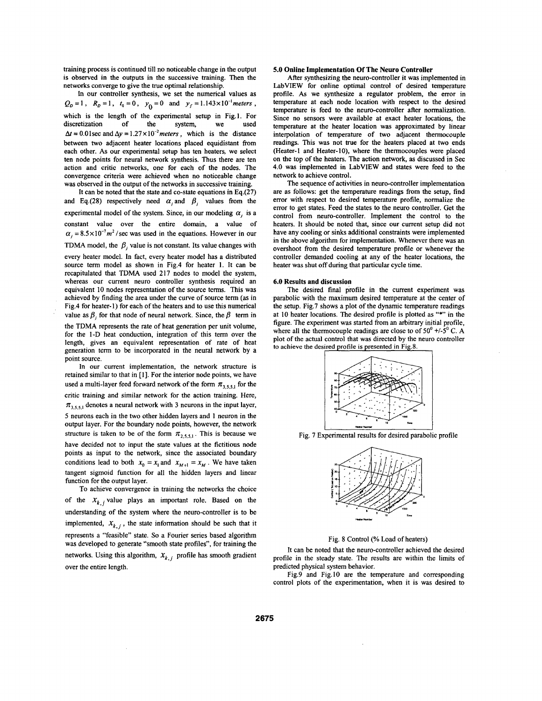training process is continued till no noticeable change in the output is observed in the outputs in the successive training. Then the networks converge to give the true optimal relationship.

In our controller synthesis, we set the numerical values as  $Q_D = 1$ ,  $R_D = 1$ ,  $t_0 = 0$ ,  $y_0 = 0$  and  $y_f = 1.143 \times 10^{-1}$  meters, which is the length of the experimental setup in Fig.1. For discretization of the system, we used discretization of the system, we  $\Delta t = 0.01$  sec and  $\Delta y = 1.27 \times 10^{-2}$  meters, which is the distance between two adjacent heater locations placed equidistant from each other. As our experimental setup has ten heaters, we select ten node points for neural network synthesis. **Thus** there are ten action and critic networks, one for each of the nodes. The convergence criteria were achieved when no noticeable change was observed in the output of the networks in successive training.

It can be noted that the state and co-state equations in Eq.(27) and Eq.(28) respectively need  $\alpha_j$  and  $\beta_j$  values from the experimental model of the system. Since, in our modeling  $\alpha_i$  is a constant value over the entire domain, a value of  $\alpha_j = 8.5 \times 10^{-7} m^2$  / sec was used in the equations. However in our TDMA model, the  $\beta$ , value is not constant. Its value changes with

every heater model. In fact, every heater model has a distributed source term model as shown in Fig.4 for heater **1.** It can be recapitulated that TDMA used 217 nodes to model the system, whereas our current neuro controller synthesis required an equivalent **10** nodes representation of the source terms. This was achieved by finding the area under the curve of source term (as in Fig.4 for heater-]) for each of the heaters and to use this numerical value as  $\beta$ , for that node of neural network. Since, the  $\beta$  term in

the TDMA represents the rate of heat generation per unit volume, for the 1-D heat conduction, integration of this term over the length, gives an equivalent representation of rate of heat generation term to be incorporated in the neural network by a point source.

In our current implementation, the network structure is retained similar to that in [l]. For the interior node points, we have used a multi-layer feed forward network of the form  $\pi_{3,5,5,1}$  for the critic training and similar network for the action training. Here,  $\pi_{3,5,5,1}$  denotes a neural network with 3 neurons in the input layer, *5* neurons each in the two other hidden layers and 1 neuron in the output layer. For the boundary node points, however, the network structure is taken to be of the form  $\pi_{2,5,5,1}$ . This is because we have decided not to input the state values at the fictitious node points as input to the network, since the associated boundary conditions lead to both  $x_0 = x_1$  and  $x_{M+1} = x_M$ . We have taken tangent sigmoid function for all the hidden layers and linear function for the output layer.

To achieve convergence in training the networks the choice of the  $X_{k,j}$  value plays an important role. Based on the understanding of the system where the neuro-controller is to be implemented,  $X_{k,j}$ , the state information should be such that it represents a "feasible" state. So a Fourier series based algorithm was developed to generate "smooth state profiles", for training the networks. Using this algorithm,  $X_{k,i}$  profile has smooth gradient over the entire length.

#### **5.0 Online Implementation Of The Neuro Controller**

After synthesizing the neuro-controller it was implemented in LabVIEW for online optimal control of desired temperature profile. As we synthesize a regulator problem, the error in temperature at each node location with respect to the desired temperature is feed to the neuro-controller after normalization. Since no sensors were available at exact heater locations, the temperature at the heater location was approximated by linear interpolation of temperature of two adjacent thermocouple readings. This was not true for the heaters placed at two ends (Heater-1 and Heater-10), where the thermocouples were placed on the top of the heaters. The action network, as discussed in Sec 4.0 was implemented in LabVIEW and states were feed to the network to achieve control.

The sequence of activities in neuro-controller implementation are as follows: get the temperature readings from the setup, find error with respect to desired temperature profile, normalize the error to get states. Feed the states to the neuro controller. Get the control from neuro-controller. Implement the control to the heaters. It should be noted that, since our current setup did not have any cooling or sinks additional constraints were implemented in the above algorithm for implementation. Whenever there was an overshoot from the desired temperature profile or whenever the controller demanded cooling at any of the heater locations, the heater was shut **off** during that particular cycle time.

#### **6.0 Results and discussion**

The desired final profile in the current experiment was parabolic with the maximum desired temperature at the center of the setup. Fig.7 shows a plot of the dynamic temperature readings at 10 heater locations. The desired profile is plotted as "\*" in the figure. The experiment was started from an arbitrary initial profile, where all the thermocouple readings are close to of  $50^0$  +/-5<sup>0</sup> C. A plot of the actual control that was directed by the neuro controller to achieve the desired profile is presented in Fig.8.



Fig. 7 Experimental results for desired parabolic profile



Fig. **8** Control *(?A* Load of heaters)

It can be noted that the neuro-controller achieved the desired profile in the steady state. The results are within the limits of predicted physical system behavior.

Fig.9 and [Fig.](#page-6-0) **10** are the temperature and corresponding control plots of the experimentation, when it is was desired to